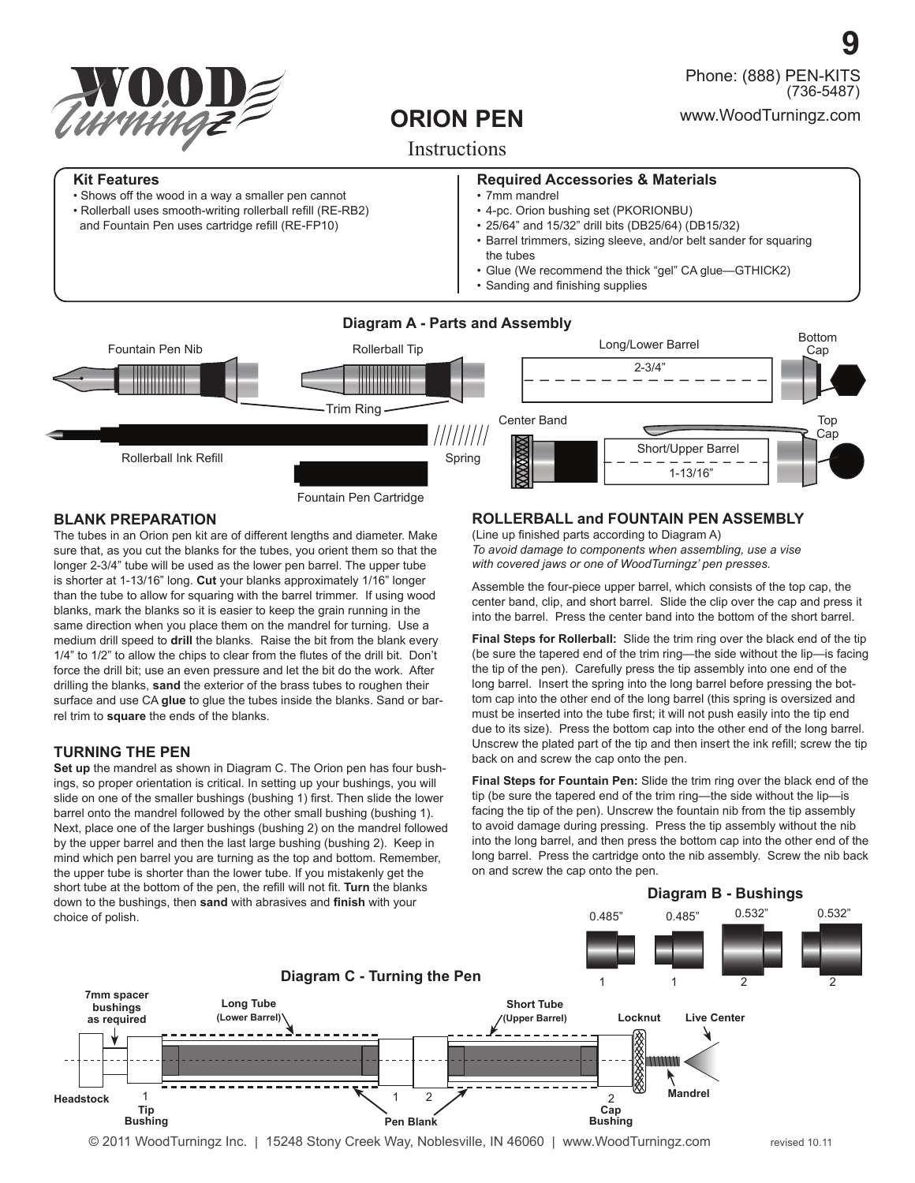

• Shows off the wood in a way a smaller pen cannot • Rollerball uses smooth-writing rollerball refill (RE-RB2) and Fountain Pen uses cartridge refill (RE-FP10)

**Kit Features**

# **ORION PEN**

# **Instructions**

### **Required Accessories & Materials**

- 7mm mandrel
- 4-pc. Orion bushing set (PKORIONBU)
- 25/64" and 15/32" drill bits (DB25/64) (DB15/32)
- Barrel trimmers, sizing sleeve, and/or belt sander for squaring the tubes
- Glue (We recommend the thick "gel" CA glue—GTHICK2)
- Sanding and finishing supplies



### **BLANK PREPARATION**

The tubes in an Orion pen kit are of different lengths and diameter. Make sure that, as you cut the blanks for the tubes, you orient them so that the longer 2-3/4" tube will be used as the lower pen barrel. The upper tube is shorter at 1-13/16" long. **Cut** your blanks approximately 1/16" longer than the tube to allow for squaring with the barrel trimmer. If using wood blanks, mark the blanks so it is easier to keep the grain running in the same direction when you place them on the mandrel for turning. Use a medium drill speed to **drill** the blanks. Raise the bit from the blank every  $1/4$ " to  $1/2$ " to allow the chips to clear from the flutes of the drill bit. Don't force the drill bit; use an even pressure and let the bit do the work. After drilling the blanks, **sand** the exterior of the brass tubes to roughen their surface and use CA **glue** to glue the tubes inside the blanks. Sand or barrel trim to **square** the ends of the blanks.

## **TURNING THE PEN**

**Set up** the mandrel as shown in Diagram C. The Orion pen has four bushings, so proper orientation is critical. In setting up your bushings, you will slide on one of the smaller bushings (bushing 1) first. Then slide the lower barrel onto the mandrel followed by the other small bushing (bushing 1). Next, place one of the larger bushings (bushing 2) on the mandrel followed by the upper barrel and then the last large bushing (bushing 2). Keep in mind which pen barrel you are turning as the top and bottom. Remember, the upper tube is shorter than the lower tube. If you mistakenly get the short tube at the bottom of the pen, the refill will not fit. Turn the blanks down to the bushings, then sand with abrasives and finish with your choice of polish.

## **ROLLERBALL and FOUNTAIN PEN ASSEMBLY**

(Line up finished parts according to Diagram A) *To avoid damage to components when assembling, use a vise with covered jaws or one of WoodTurningz' pen presses.* 

Assemble the four-piece upper barrel, which consists of the top cap, the center band, clip, and short barrel. Slide the clip over the cap and press it into the barrel. Press the center band into the bottom of the short barrel.

**Final Steps for Rollerball:** Slide the trim ring over the black end of the tip (be sure the tapered end of the trim ring—the side without the lip—is facing the tip of the pen). Carefully press the tip assembly into one end of the long barrel. Insert the spring into the long barrel before pressing the bottom cap into the other end of the long barrel (this spring is oversized and must be inserted into the tube first; it will not push easily into the tip end due to its size). Press the bottom cap into the other end of the long barrel. Unscrew the plated part of the tip and then insert the ink refill; screw the tip back on and screw the cap onto the pen.

**Final Steps for Fountain Pen:** Slide the trim ring over the black end of the tip (be sure the tapered end of the trim ring—the side without the lip—is facing the tip of the pen). Unscrew the fountain nib from the tip assembly to avoid damage during pressing. Press the tip assembly without the nib into the long barrel, and then press the bottom cap into the other end of the long barrel. Press the cartridge onto the nib assembly. Screw the nib back on and screw the cap onto the pen.

0.485" 0.532" 0.532"

**Diagram B - Bushings**

0.485"